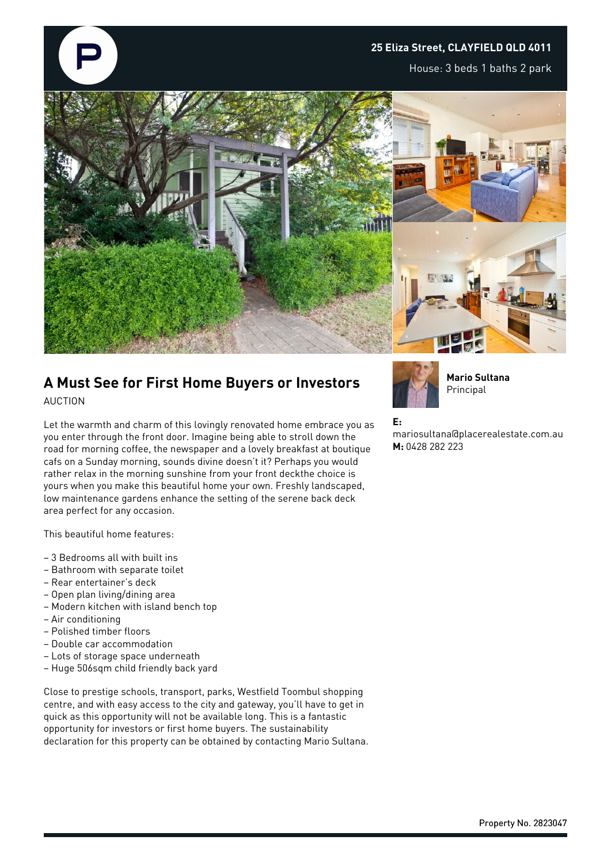## **25 Eliza Street, CLAYFIELD QLD 4011**

House: 3 beds 1 baths 2 park



## **A Must See for First Home Buyers or Investors**

AUCTION

Let the warmth and charm of this lovingly renovated home embrace you as you enter through the front door. Imagine being able to stroll down the road for morning coffee, the newspaper and a lovely breakfast at boutique cafs on a Sunday morning, sounds divine doesn't it? Perhaps you would rather relax in the morning sunshine from your front deckthe choice is yours when you make this beautiful home your own. Freshly landscaped, low maintenance gardens enhance the setting of the serene back deck area perfect for any occasion.

This beautiful home features:

- 3 Bedrooms all with built ins
- Bathroom with separate toilet
- Rear entertainer's deck
- Open plan living/dining area
- Modern kitchen with island bench top
- Air conditioning
- Polished timber floors
- Double car accommodation
- Lots of storage space underneath
- Huge 506sqm child friendly back yard

Close to prestige schools, transport, parks, Westfield Toombul shopping centre, and with easy access to the city and gateway, you'll have to get in quick as this opportunity will not be available long. This is a fantastic opportunity for investors or first home buyers. The sustainability declaration for this property can be obtained by contacting Mario Sultana.



**Mario Sultana** Principal

## **E:**

mariosultana@placerealestate.com.au **M:** 0428 282 223